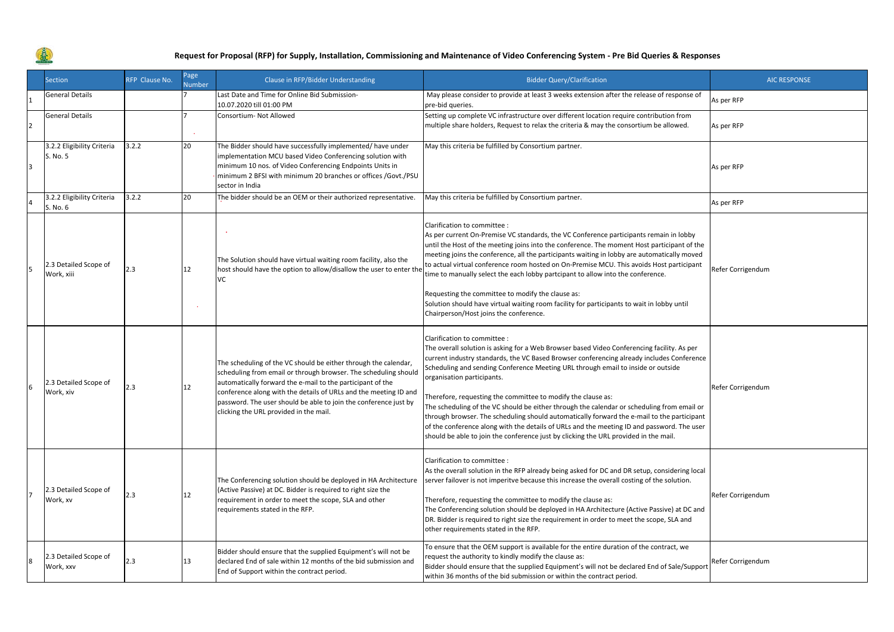

|   | <b>Section</b>                         | RFP Clause No. | Page<br><b>Number</b> | Clause in RFP/Bidder Understanding                                                                                                                                                                                                                                                                                                                                                 | <b>Bidder Query/Clarification</b>                                                                                                                                                                                                                                                                                                                                                                                                                                                                                                                                                                                                                                                                                                                                                           | <b>AIC RESPONSE</b> |
|---|----------------------------------------|----------------|-----------------------|------------------------------------------------------------------------------------------------------------------------------------------------------------------------------------------------------------------------------------------------------------------------------------------------------------------------------------------------------------------------------------|---------------------------------------------------------------------------------------------------------------------------------------------------------------------------------------------------------------------------------------------------------------------------------------------------------------------------------------------------------------------------------------------------------------------------------------------------------------------------------------------------------------------------------------------------------------------------------------------------------------------------------------------------------------------------------------------------------------------------------------------------------------------------------------------|---------------------|
|   | General Details                        |                |                       | Last Date and Time for Online Bid Submission-<br>10.07.2020 till 01:00 PM                                                                                                                                                                                                                                                                                                          | May please consider to provide at least 3 weeks extension after the release of response of<br>pre-bid queries.                                                                                                                                                                                                                                                                                                                                                                                                                                                                                                                                                                                                                                                                              | As per RFP          |
|   | <b>General Details</b>                 |                |                       | Consortium- Not Allowed                                                                                                                                                                                                                                                                                                                                                            | Setting up complete VC infrastructure over different location require contribution from<br>multiple share holders, Request to relax the criteria & may the consortium be allowed.                                                                                                                                                                                                                                                                                                                                                                                                                                                                                                                                                                                                           | As per RFP          |
| з | 3.2.2 Eligibility Criteria<br>S. No. 5 | 3.2.2          | 20                    | The Bidder should have successfully implemented/ have under<br>implementation MCU based Video Conferencing solution with<br>minimum 10 nos. of Video Conferencing Endpoints Units in<br>minimum 2 BFSI with minimum 20 branches or offices /Govt./PSU<br>sector in India                                                                                                           | May this criteria be fulfilled by Consortium partner.                                                                                                                                                                                                                                                                                                                                                                                                                                                                                                                                                                                                                                                                                                                                       | As per RFP          |
|   | 3.2.2 Eligibility Criteria<br>S. No. 6 | 3.2.2          | 20                    | The bidder should be an OEM or their authorized representative.                                                                                                                                                                                                                                                                                                                    | May this criteria be fulfilled by Consortium partner.                                                                                                                                                                                                                                                                                                                                                                                                                                                                                                                                                                                                                                                                                                                                       | As per RFP          |
|   | 2.3 Detailed Scope of<br>Work, xiii    | 2.3            | 12                    | The Solution should have virtual waiting room facility, also the<br>host should have the option to allow/disallow the user to enter the<br>VC                                                                                                                                                                                                                                      | Clarification to committee :<br>As per current On-Premise VC standards, the VC Conference participants remain in lobby<br>until the Host of the meeting joins into the conference. The moment Host participant of the<br>meeting joins the conference, all the participants waiting in lobby are automatically moved<br>to actual virtual conference room hosted on On-Premise MCU. This avoids Host participant<br>time to manually select the each lobby partcipant to allow into the conference.<br>Requesting the committee to modify the clause as:<br>Solution should have virtual waiting room facility for participants to wait in lobby until<br>Chairperson/Host joins the conference.                                                                                            | Refer Corrigendum   |
|   | 2.3 Detailed Scope of<br>Work, xiv     | 2.3            | 12                    | The scheduling of the VC should be either through the calendar,<br>scheduling from email or through browser. The scheduling should<br>automatically forward the e-mail to the participant of the<br>conference along with the details of URLs and the meeting ID and<br>password. The user should be able to join the conference just by<br>clicking the URL provided in the mail. | Clarification to committee :<br>The overall solution is asking for a Web Browser based Video Conferencing facility. As per<br>current industry standards, the VC Based Browser conferencing already includes Conference<br>Scheduling and sending Conference Meeting URL through email to inside or outside<br>organisation participants.<br>Therefore, requesting the committee to modify the clause as:<br>The scheduling of the VC should be either through the calendar or scheduling from email or<br>through browser. The scheduling should automatically forward the e-mail to the participant<br>of the conference along with the details of URLs and the meeting ID and password. The user<br>should be able to join the conference just by clicking the URL provided in the mail. | Refer Corrigendum   |
|   | 2.3 Detailed Scope of<br>Work, xv      | 2.3            | 12                    | The Conferencing solution should be deployed in HA Architecture<br>(Active Passive) at DC. Bidder is required to right size the<br>requirement in order to meet the scope, SLA and other<br>requirements stated in the RFP.                                                                                                                                                        | Clarification to committee :<br>As the overall solution in the RFP already being asked for DC and DR setup, considering local<br>server failover is not imperitve because this increase the overall costing of the solution.<br>Therefore, requesting the committee to modify the clause as:<br>The Conferencing solution should be deployed in HA Architecture (Active Passive) at DC and<br>DR. Bidder is required to right size the requirement in order to meet the scope, SLA and<br>other requirements stated in the RFP.                                                                                                                                                                                                                                                             | Refer Corrigendum   |
|   | 2.3 Detailed Scope of<br>Work, xxv     | 2.3            | 13                    | Bidder should ensure that the supplied Equipment's will not be<br>declared End of sale within 12 months of the bid submission and<br>End of Support within the contract period.                                                                                                                                                                                                    | To ensure that the OEM support is available for the entire duration of the contract, we<br>request the authority to kindly modify the clause as:<br>Bidder should ensure that the supplied Equipment's will not be declared End of Sale/Support<br>within 36 months of the bid submission or within the contract period.                                                                                                                                                                                                                                                                                                                                                                                                                                                                    | Refer Corrigendum   |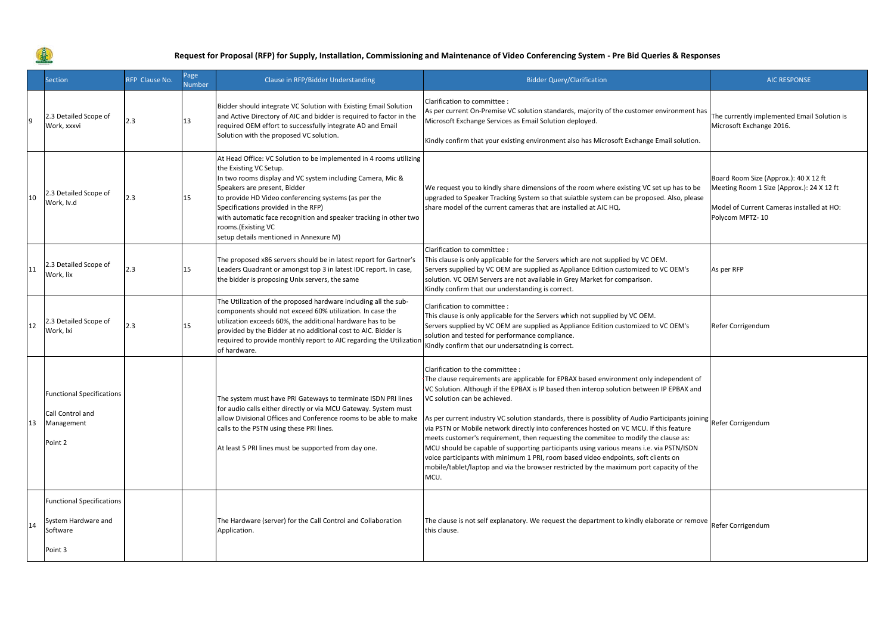

|    | <b>Section</b>                                                                 | RFP Clause No. | Page<br>Number | Clause in RFP/Bidder Understanding                                                                                                                                                                                                                                                                                                                                                                                             | <b>Bidder Query/Clarification</b>                                                                                                                                                                                                                                                                                                                                                                                                                                                                                                                                                                                                                                                                                                                                                                                                                  | <b>AIC RESPONSE</b>                                                                                                                                |
|----|--------------------------------------------------------------------------------|----------------|----------------|--------------------------------------------------------------------------------------------------------------------------------------------------------------------------------------------------------------------------------------------------------------------------------------------------------------------------------------------------------------------------------------------------------------------------------|----------------------------------------------------------------------------------------------------------------------------------------------------------------------------------------------------------------------------------------------------------------------------------------------------------------------------------------------------------------------------------------------------------------------------------------------------------------------------------------------------------------------------------------------------------------------------------------------------------------------------------------------------------------------------------------------------------------------------------------------------------------------------------------------------------------------------------------------------|----------------------------------------------------------------------------------------------------------------------------------------------------|
|    | 2.3 Detailed Scope of<br>Work, xxxvi                                           | 2.3            | 13             | Bidder should integrate VC Solution with Existing Email Solution<br>and Active Directory of AIC and bidder is required to factor in the<br>required OEM effort to successfully integrate AD and Email<br>Solution with the proposed VC solution.                                                                                                                                                                               | Clarification to committee :<br>As per current On-Premise VC solution standards, majority of the customer environment has<br>Microsoft Exchange Services as Email Solution deployed.<br>Kindly confirm that your existing environment also has Microsoft Exchange Email solution.                                                                                                                                                                                                                                                                                                                                                                                                                                                                                                                                                                  | The currently implemented Email Solution is<br>Microsoft Exchange 2016.                                                                            |
| 10 | 2.3 Detailed Scope of<br>Work, Iv.d                                            | 2.3            | 15             | At Head Office: VC Solution to be implemented in 4 rooms utilizing<br>the Existing VC Setup.<br>In two rooms display and VC system including Camera, Mic &<br>Speakers are present, Bidder<br>to provide HD Video conferencing systems (as per the<br>Specifications provided in the RFP)<br>with automatic face recognition and speaker tracking in other two<br>rooms.(Existing VC<br>setup details mentioned in Annexure M) | We request you to kindly share dimensions of the room where existing VC set up has to be<br>upgraded to Speaker Tracking System so that suiatble system can be proposed. Also, please<br>share model of the current cameras that are installed at AIC HQ.                                                                                                                                                                                                                                                                                                                                                                                                                                                                                                                                                                                          | Board Room Size (Approx.): 40 X 12 ft<br>Meeting Room 1 Size (Approx.): 24 X 12 ft<br>Model of Current Cameras installed at HO:<br>Polycom MPTZ-10 |
| 11 | 2.3 Detailed Scope of<br>Work, lix                                             | 2.3            | 15             | The proposed x86 servers should be in latest report for Gartner's<br>Leaders Quadrant or amongst top 3 in latest IDC report. In case,<br>the bidder is proposing Unix servers, the same                                                                                                                                                                                                                                        | Clarification to committee :<br>This clause is only applicable for the Servers which are not supplied by VC OEM.<br>Servers supplied by VC OEM are supplied as Appliance Edition customized to VC OEM's<br>solution. VC OEM Servers are not available in Grey Market for comparison.<br>Kindly confirm that our understanding is correct.                                                                                                                                                                                                                                                                                                                                                                                                                                                                                                          | As per RFP                                                                                                                                         |
| 12 | 2.3 Detailed Scope of<br>Work, Ixi                                             | 2.3            | 15             | The Utilization of the proposed hardware including all the sub-<br>components should not exceed 60% utilization. In case the<br>utilization exceeds 60%, the additional hardware has to be<br>provided by the Bidder at no additional cost to AIC. Bidder is<br>required to provide monthly report to AIC regarding the Utilization<br>of hardware.                                                                            | Clarification to committee :<br>This clause is only applicable for the Servers which not supplied by VC OEM.<br>Servers supplied by VC OEM are supplied as Appliance Edition customized to VC OEM's<br>solution and tested for performance compliance.<br>Kindly confirm that our undersatnding is correct.                                                                                                                                                                                                                                                                                                                                                                                                                                                                                                                                        | Refer Corrigendum                                                                                                                                  |
| 13 | <b>Functional Specifications</b><br>Call Control and<br>Management<br>Point 2  |                |                | The system must have PRI Gateways to terminate ISDN PRI lines<br>for audio calls either directly or via MCU Gateway. System must<br>allow Divisional Offices and Conference rooms to be able to make<br>calls to the PSTN using these PRI lines.<br>At least 5 PRI lines must be supported from day one.                                                                                                                       | Clarification to the committee :<br>The clause requirements are applicable for EPBAX based environment only independent of<br>VC Solution. Although if the EPBAX is IP based then interop solution between IP EPBAX and<br>VC solution can be achieved.<br>As per current industry VC solution standards, there is possiblity of Audio Participants joining Refer Corrigendum<br>via PSTN or Mobile network directly into conferences hosted on VC MCU. If this feature<br>meets customer's requirement, then requesting the commitee to modify the clause as:<br>MCU should be capable of supporting participants using various means i.e. via PSTN/ISDN<br>voice participants with minimum 1 PRI, room based video endpoints, soft clients on<br>mobile/tablet/laptop and via the browser restricted by the maximum port capacity of the<br>MCU. |                                                                                                                                                    |
| 14 | <b>Functional Specifications</b><br>System Hardware and<br>Software<br>Point 3 |                |                | The Hardware (server) for the Call Control and Collaboration<br>Application.                                                                                                                                                                                                                                                                                                                                                   | The clause is not self explanatory. We request the department to kindly elaborate or remove<br>this clause.                                                                                                                                                                                                                                                                                                                                                                                                                                                                                                                                                                                                                                                                                                                                        | Refer Corrigendum                                                                                                                                  |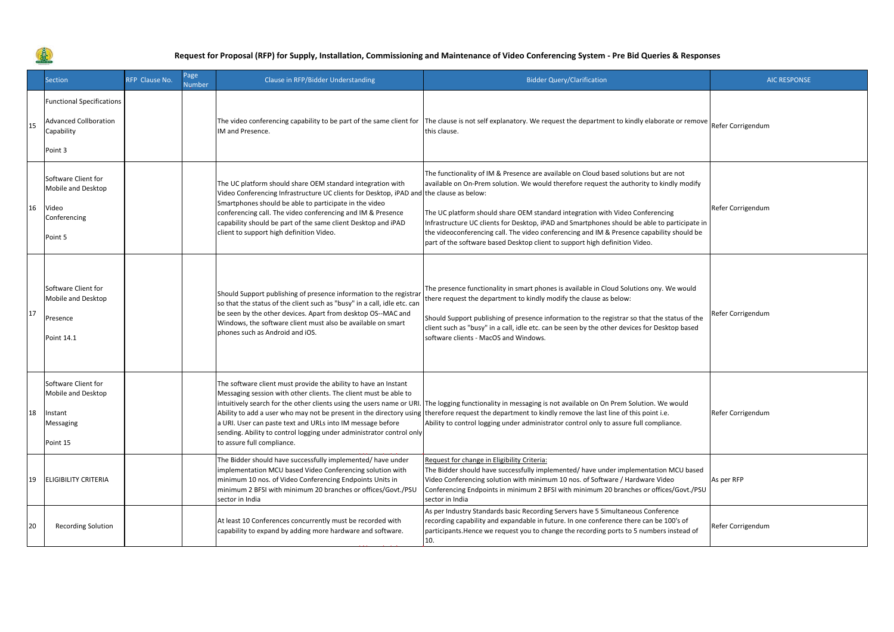

|    | <b>Section</b>                                                                            | RFP Clause No. | Page<br><b>Number</b> | Clause in RFP/Bidder Understanding                                                                                                                                                                                                                                                                                                                                                                                                                     | <b>Bidder Query/Clarification</b>                                                                                                                                                                                                                                                                                                                                                                                                                                                                                                              | <b>AIC RESPONSE</b> |
|----|-------------------------------------------------------------------------------------------|----------------|-----------------------|--------------------------------------------------------------------------------------------------------------------------------------------------------------------------------------------------------------------------------------------------------------------------------------------------------------------------------------------------------------------------------------------------------------------------------------------------------|------------------------------------------------------------------------------------------------------------------------------------------------------------------------------------------------------------------------------------------------------------------------------------------------------------------------------------------------------------------------------------------------------------------------------------------------------------------------------------------------------------------------------------------------|---------------------|
| 15 | <b>Functional Specifications</b><br><b>Advanced Collboration</b><br>Capability<br>Point 3 |                |                       | The video conferencing capability to be part of the same client for<br>IM and Presence.                                                                                                                                                                                                                                                                                                                                                                | The clause is not self explanatory. We request the department to kindly elaborate or remove Refer Corrigendum<br>this clause.                                                                                                                                                                                                                                                                                                                                                                                                                  |                     |
| 16 | Software Client for<br>Mobile and Desktop<br>Video<br>Conferencing<br>Point 5             |                |                       | The UC platform should share OEM standard integration with<br>Video Conferencing Infrastructure UC clients for Desktop, iPAD and the clause as below:<br>Smartphones should be able to participate in the video<br>conferencing call. The video conferencing and IM & Presence<br>capability should be part of the same client Desktop and iPAD<br>client to support high definition Video.                                                            | The functionality of IM & Presence are available on Cloud based solutions but are not<br>available on On-Prem solution. We would therefore request the authority to kindly modify<br>The UC platform should share OEM standard integration with Video Conferencing<br>Infrastructure UC clients for Desktop, iPAD and Smartphones should be able to participate in<br>the videoconferencing call. The video conferencing and IM & Presence capability should be<br>part of the software based Desktop client to support high definition Video. | Refer Corrigendum   |
| 17 | Software Client for<br>Mobile and Desktop<br>Presence<br>Point 14.1                       |                |                       | Should Support publishing of presence information to the registrar<br>so that the status of the client such as "busy" in a call, idle etc. can<br>be seen by the other devices. Apart from desktop OS--MAC and<br>Windows, the software client must also be available on smart<br>phones such as Android and iOS.                                                                                                                                      | The presence functionality in smart phones is available in Cloud Solutions ony. We would<br>there request the department to kindly modify the clause as below:<br>Should Support publishing of presence information to the registrar so that the status of the<br>client such as "busy" in a call, idle etc. can be seen by the other devices for Desktop based<br>software clients - MacOS and Windows.                                                                                                                                       | Refer Corrigendum   |
| 18 | Software Client for<br>Mobile and Desktop<br>Instant<br>Messaging<br>Point 15             |                |                       | The software client must provide the ability to have an Instant<br>Messaging session with other clients. The client must be able to<br>intuitively search for the other clients using the users name or URI<br>Ability to add a user who may not be present in the directory using<br>a URI. User can paste text and URLs into IM message before<br>sending. Ability to control logging under administrator control only<br>to assure full compliance. | The logging functionality in messaging is not available on On Prem Solution. We would<br>therefore request the department to kindly remove the last line of this point i.e.<br>Ability to control logging under administrator control only to assure full compliance.                                                                                                                                                                                                                                                                          | Refer Corrigendum   |
| 19 | <b>ELIGIBILITY CRITERIA</b>                                                               |                |                       | The Bidder should have successfully implemented/ have under<br>implementation MCU based Video Conferencing solution with<br>minimum 10 nos. of Video Conferencing Endpoints Units in<br>minimum 2 BFSI with minimum 20 branches or offices/Govt./PSU<br>sector in India                                                                                                                                                                                | Request for change in Eligibility Criteria:<br>The Bidder should have successfully implemented/ have under implementation MCU based<br>Video Conferencing solution with minimum 10 nos. of Software / Hardware Video<br>Conferencing Endpoints in minimum 2 BFSI with minimum 20 branches or offices/Govt./PSU<br>sector in India                                                                                                                                                                                                              | As per RFP          |
| 20 | <b>Recording Solution</b>                                                                 |                |                       | At least 10 Conferences concurrently must be recorded with<br>capability to expand by adding more hardware and software.                                                                                                                                                                                                                                                                                                                               | As per Industry Standards basic Recording Servers have 5 Simultaneous Conference<br>recording capability and expandable in future. In one conference there can be 100's of<br>participants. Hence we request you to change the recording ports to 5 numbers instead of<br>10.                                                                                                                                                                                                                                                                  | Refer Corrigendum   |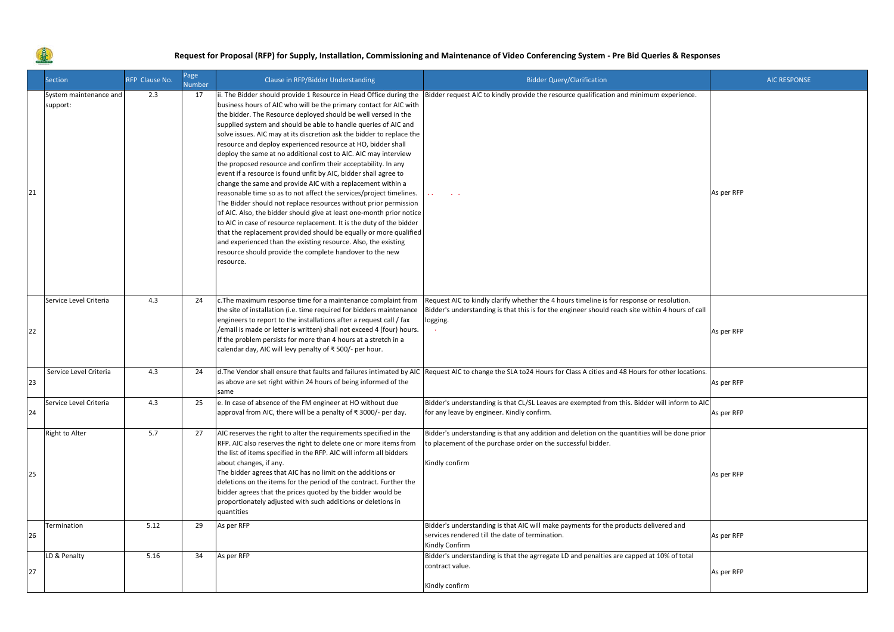

美

|    | <b>Section</b>                     | RFP Clause No. | Page<br><b>Number</b> | Clause in RFP/Bidder Understanding                                                                                                                                                                                                                                                                                                                                                                                                                                                                                                                                                                                                                                                                                                                                                                                                                                                                                                                                                                                                                                                                                                                                                                       | <b>Bidder Query/Clarification</b>                                                                                                                                                                         | <b>AIC RESPONSE</b> |
|----|------------------------------------|----------------|-----------------------|----------------------------------------------------------------------------------------------------------------------------------------------------------------------------------------------------------------------------------------------------------------------------------------------------------------------------------------------------------------------------------------------------------------------------------------------------------------------------------------------------------------------------------------------------------------------------------------------------------------------------------------------------------------------------------------------------------------------------------------------------------------------------------------------------------------------------------------------------------------------------------------------------------------------------------------------------------------------------------------------------------------------------------------------------------------------------------------------------------------------------------------------------------------------------------------------------------|-----------------------------------------------------------------------------------------------------------------------------------------------------------------------------------------------------------|---------------------|
| 21 | System maintenance and<br>support: | 2.3            | 17                    | ii. The Bidder should provide 1 Resource in Head Office during the<br>business hours of AIC who will be the primary contact for AIC with<br>the bidder. The Resource deployed should be well versed in the<br>supplied system and should be able to handle queries of AIC and<br>solve issues. AIC may at its discretion ask the bidder to replace the<br>resource and deploy experienced resource at HO, bidder shall<br>deploy the same at no additional cost to AIC. AIC may interview<br>the proposed resource and confirm their acceptability. In any<br>event if a resource is found unfit by AIC, bidder shall agree to<br>change the same and provide AIC with a replacement within a<br>reasonable time so as to not affect the services/project timelines.<br>The Bidder should not replace resources without prior permission<br>of AIC. Also, the bidder should give at least one-month prior notice<br>to AIC in case of resource replacement. It is the duty of the bidder<br>that the replacement provided should be equally or more qualified<br>and experienced than the existing resource. Also, the existing<br>resource should provide the complete handover to the new<br>resource. | Bidder request AIC to kindly provide the resource qualification and minimum experience.                                                                                                                   | As per RFP          |
| 22 | Service Level Criteria             | 4.3            | 24                    | c. The maximum response time for a maintenance complaint from<br>the site of installation (i.e. time required for bidders maintenance<br>engineers to report to the installations after a request call / fax<br>/email is made or letter is written) shall not exceed 4 (four) hours.<br>If the problem persists for more than 4 hours at a stretch in a<br>calendar day, AIC will levy penalty of ₹500/- per hour.                                                                                                                                                                                                                                                                                                                                                                                                                                                                                                                                                                                                                                                                                                                                                                                      | Request AIC to kindly clarify whether the 4 hours timeline is for response or resolution.<br>Bidder's understanding is that this is for the engineer should reach site within 4 hours of call<br>logging. | As per RFP          |
| 23 | Service Level Criteria             | 4.3            | 24                    | d. The Vendor shall ensure that faults and failures intimated by AIC<br>as above are set right within 24 hours of being informed of the<br>same                                                                                                                                                                                                                                                                                                                                                                                                                                                                                                                                                                                                                                                                                                                                                                                                                                                                                                                                                                                                                                                          | Request AIC to change the SLA to24 Hours for Class A cities and 48 Hours for other locations.                                                                                                             | As per RFP          |
| 24 | Service Level Criteria             | 4.3            | 25                    | e. In case of absence of the FM engineer at HO without due<br>approval from AIC, there will be a penalty of ₹3000/- per day.                                                                                                                                                                                                                                                                                                                                                                                                                                                                                                                                                                                                                                                                                                                                                                                                                                                                                                                                                                                                                                                                             | Bidder's understanding is that CL/SL Leaves are exempted from this. Bidder will inform to AIC<br>for any leave by engineer. Kindly confirm.                                                               | As per RFP          |
| 25 | Right to Alter                     | 5.7            | 27                    | AIC reserves the right to alter the requirements specified in the<br>RFP. AIC also reserves the right to delete one or more items from<br>the list of items specified in the RFP. AIC will inform all bidders<br>about changes, if any.<br>The bidder agrees that AIC has no limit on the additions or<br>deletions on the items for the period of the contract. Further the<br>bidder agrees that the prices quoted by the bidder would be<br>proportionately adjusted with such additions or deletions in<br>quantities                                                                                                                                                                                                                                                                                                                                                                                                                                                                                                                                                                                                                                                                                | Bidder's understanding is that any addition and deletion on the quantities will be done prior<br>to placement of the purchase order on the successful bidder.<br>Kindly confirm                           | As per RFP          |
| 26 | Termination                        | 5.12           | 29                    | As per RFP                                                                                                                                                                                                                                                                                                                                                                                                                                                                                                                                                                                                                                                                                                                                                                                                                                                                                                                                                                                                                                                                                                                                                                                               | Bidder's understanding is that AIC will make payments for the products delivered and<br>services rendered till the date of termination.<br>Kindly Confirm                                                 | As per RFP          |
| 27 | LD & Penalty                       | 5.16           | 34                    | As per RFP                                                                                                                                                                                                                                                                                                                                                                                                                                                                                                                                                                                                                                                                                                                                                                                                                                                                                                                                                                                                                                                                                                                                                                                               | Bidder's understanding is that the agrregate LD and penalties are capped at 10% of total<br>contract value.<br>Kindly confirm                                                                             | As per RFP          |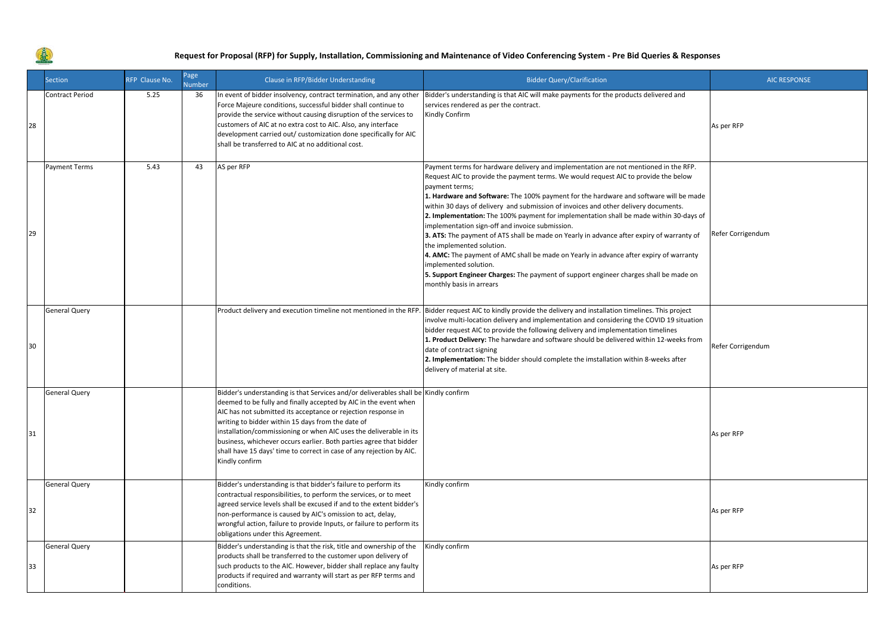

|    | Section                | RFP Clause No. | Page<br><b>Number</b> | Clause in RFP/Bidder Understanding                                                                                                                                                                                                                                                                                                                                                                                                                                                                                  | <b>Bidder Query/Clarification</b>                                                                                                                                                                                                                                                                                                                                                                                                                                                                                                                                                                                                                                                                                                                                                                                                                                                           | <b>AIC RESPONSE</b> |
|----|------------------------|----------------|-----------------------|---------------------------------------------------------------------------------------------------------------------------------------------------------------------------------------------------------------------------------------------------------------------------------------------------------------------------------------------------------------------------------------------------------------------------------------------------------------------------------------------------------------------|---------------------------------------------------------------------------------------------------------------------------------------------------------------------------------------------------------------------------------------------------------------------------------------------------------------------------------------------------------------------------------------------------------------------------------------------------------------------------------------------------------------------------------------------------------------------------------------------------------------------------------------------------------------------------------------------------------------------------------------------------------------------------------------------------------------------------------------------------------------------------------------------|---------------------|
| 28 | <b>Contract Period</b> | 5.25           | 36                    | In event of bidder insolvency, contract termination, and any other<br>Force Majeure conditions, successful bidder shall continue to<br>provide the service without causing disruption of the services to<br>customers of AIC at no extra cost to AIC. Also, any interface<br>development carried out/ customization done specifically for AIC<br>shall be transferred to AIC at no additional cost.                                                                                                                 | Bidder's understanding is that AIC will make payments for the products delivered and<br>services rendered as per the contract.<br>Kindly Confirm                                                                                                                                                                                                                                                                                                                                                                                                                                                                                                                                                                                                                                                                                                                                            | As per RFP          |
| 29 | Payment Terms          | 5.43           | 43                    | AS per RFP                                                                                                                                                                                                                                                                                                                                                                                                                                                                                                          | Payment terms for hardware delivery and implementation are not mentioned in the RFP.<br>Request AIC to provide the payment terms. We would request AIC to provide the below<br>payment terms;<br>1. Hardware and Software: The 100% payment for the hardware and software will be made<br>within 30 days of delivery and submission of invoices and other delivery documents.<br>2. Implementation: The 100% payment for implementation shall be made within 30-days of<br>implementation sign-off and invoice submission.<br>3. ATS: The payment of ATS shall be made on Yearly in advance after expiry of warranty of<br>the implemented solution.<br>4. AMC: The payment of AMC shall be made on Yearly in advance after expiry of warranty<br>mplemented solution.<br>5. Support Engineer Charges: The payment of support engineer charges shall be made on<br>monthly basis in arrears | Refer Corrigendum   |
| 30 | <b>General Query</b>   |                |                       |                                                                                                                                                                                                                                                                                                                                                                                                                                                                                                                     | Product delivery and execution timeline not mentioned in the RFP. Bidder request AIC to kindly provide the delivery and installation timelines. This project<br>nvolve multi-location delivery and implementation and considering the COVID 19 situation<br>bidder request AIC to provide the following delivery and implementation timelines<br>1. Product Delivery: The harwdare and software should be delivered within 12-weeks from<br>date of contract signing<br>2. Implementation: The bidder should complete the imstallation within 8-weeks after<br>delivery of material at site.                                                                                                                                                                                                                                                                                                | Refer Corrigendum   |
| 31 | <b>General Query</b>   |                |                       | Bidder's understanding is that Services and/or deliverables shall be Kindly confirm<br>deemed to be fully and finally accepted by AIC in the event when<br>AIC has not submitted its acceptance or rejection response in<br>writing to bidder within 15 days from the date of<br>installation/commissioning or when AIC uses the deliverable in its<br>business, whichever occurs earlier. Both parties agree that bidder<br>shall have 15 days' time to correct in case of any rejection by AIC.<br>Kindly confirm |                                                                                                                                                                                                                                                                                                                                                                                                                                                                                                                                                                                                                                                                                                                                                                                                                                                                                             | As per RFP          |
| 32 | <b>General Query</b>   |                |                       | Bidder's understanding is that bidder's failure to perform its<br>contractual responsibilities, to perform the services, or to meet<br>agreed service levels shall be excused if and to the extent bidder's<br>non-performance is caused by AIC's omission to act, delay,<br>wrongful action, failure to provide Inputs, or failure to perform its<br>obligations under this Agreement.                                                                                                                             | Kindly confirm                                                                                                                                                                                                                                                                                                                                                                                                                                                                                                                                                                                                                                                                                                                                                                                                                                                                              | As per RFP          |
| 33 | <b>General Query</b>   |                |                       | Bidder's understanding is that the risk, title and ownership of the<br>products shall be transferred to the customer upon delivery of<br>such products to the AIC. However, bidder shall replace any faulty<br>products if required and warranty will start as per RFP terms and<br>conditions.                                                                                                                                                                                                                     | Kindly confirm                                                                                                                                                                                                                                                                                                                                                                                                                                                                                                                                                                                                                                                                                                                                                                                                                                                                              | As per RFP          |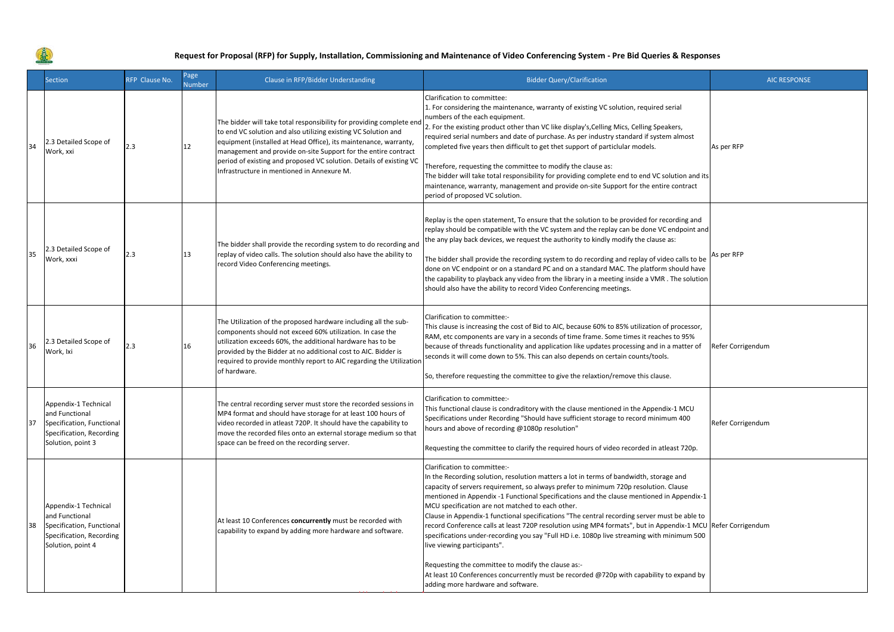就

|    | <b>Section</b>                                                                                                       | RFP Clause No. | Page<br><b>Number</b> | Clause in RFP/Bidder Understanding                                                                                                                                                                                                                                                                                                                                                                | <b>Bidder Query/Clarification</b>                                                                                                                                                                                                                                                                                                                                                                                                                                                                                                                                                                                                                                                                                                                                                                                                                                                                    | <b>AIC RESPONSE</b> |
|----|----------------------------------------------------------------------------------------------------------------------|----------------|-----------------------|---------------------------------------------------------------------------------------------------------------------------------------------------------------------------------------------------------------------------------------------------------------------------------------------------------------------------------------------------------------------------------------------------|------------------------------------------------------------------------------------------------------------------------------------------------------------------------------------------------------------------------------------------------------------------------------------------------------------------------------------------------------------------------------------------------------------------------------------------------------------------------------------------------------------------------------------------------------------------------------------------------------------------------------------------------------------------------------------------------------------------------------------------------------------------------------------------------------------------------------------------------------------------------------------------------------|---------------------|
| 34 | 2.3 Detailed Scope of<br>Work, xxi                                                                                   | 2.3            | 12                    | The bidder will take total responsibility for providing complete end<br>to end VC solution and also utilizing existing VC Solution and<br>equipment (installed at Head Office), its maintenance, warranty,<br>management and provide on-site Support for the entire contract<br>period of existing and proposed VC solution. Details of existing VC<br>Infrastructure in mentioned in Annexure M. | Clarification to committee:<br>1. For considering the maintenance, warranty of existing VC solution, required serial<br>numbers of the each equipment.<br>2. For the existing product other than VC like display's, Celling Mics, Celling Speakers,<br>required serial numbers and date of purchase. As per industry standard if system almost<br>completed five years then difficult to get thet support of particlular models.<br>Therefore, requesting the committee to modify the clause as:<br>The bidder will take total responsibility for providing complete end to end VC solution and its<br>maintenance, warranty, management and provide on-site Support for the entire contract<br>period of proposed VC solution.                                                                                                                                                                      | As per RFP          |
| 35 | 2.3 Detailed Scope of<br>Work, xxxi                                                                                  | 2.3            | 13                    | The bidder shall provide the recording system to do recording and<br>replay of video calls. The solution should also have the ability to<br>record Video Conferencing meetings.                                                                                                                                                                                                                   | Replay is the open statement, To ensure that the solution to be provided for recording and<br>replay should be compatible with the VC system and the replay can be done VC endpoint and<br>the any play back devices, we request the authority to kindly modify the clause as:<br>The bidder shall provide the recording system to do recording and replay of video calls to be<br>done on VC endpoint or on a standard PC and on a standard MAC. The platform should have<br>the capability to playback any video from the library in a meeting inside a VMR. The solution<br>should also have the ability to record Video Conferencing meetings.                                                                                                                                                                                                                                                   | As per RFP          |
| 36 | 2.3 Detailed Scope of<br>Work, Ixi                                                                                   | 2.3            | 16                    | The Utilization of the proposed hardware including all the sub-<br>components should not exceed 60% utilization. In case the<br>utilization exceeds 60%, the additional hardware has to be<br>provided by the Bidder at no additional cost to AIC. Bidder is<br>required to provide monthly report to AIC regarding the Utilizatior<br>of hardware.                                               | Clarification to committee:-<br>This clause is increasing the cost of Bid to AIC, because 60% to 85% utilization of processor,<br>RAM, etc components are vary in a seconds of time frame. Some times it reaches to 95%<br>because of threads functionality and application like updates processing and in a matter of<br>seconds it will come down to 5%. This can also depends on certain counts/tools.<br>So, therefore requesting the committee to give the relaxtion/remove this clause.                                                                                                                                                                                                                                                                                                                                                                                                        | Refer Corrigendum   |
| 37 | Appendix-1 Technical<br>and Functional<br>Specification, Functional<br>Specification, Recording<br>Solution, point 3 |                |                       | The central recording server must store the recorded sessions in<br>MP4 format and should have storage for at least 100 hours of<br>video recorded in atleast 720P. It should have the capability to<br>move the recorded files onto an external storage medium so that<br>space can be freed on the recording server.                                                                            | Clarification to committee:-<br>This functional clause is condraditory with the clause mentioned in the Appendix-1 MCU<br>Specifications under Recording "Should have sufficient storage to record minimum 400<br>hours and above of recording @1080p resolution"<br>Requesting the committee to clarify the required hours of video recorded in atleast 720p.                                                                                                                                                                                                                                                                                                                                                                                                                                                                                                                                       | Refer Corrigendum   |
| 38 | Appendix-1 Technical<br>and Functional<br>Specification, Functional<br>Specification, Recording<br>Solution, point 4 |                |                       | At least 10 Conferences concurrently must be recorded with<br>capability to expand by adding more hardware and software.                                                                                                                                                                                                                                                                          | Clarification to committee:-<br>In the Recording solution, resolution matters a lot in terms of bandwidth, storage and<br>capacity of servers requirement, so always prefer to minimum 720p resolution. Clause<br>mentioned in Appendix -1 Functional Specifications and the clause mentioned in Appendix-1<br>MCU specification are not matched to each other.<br>Clause in Appendix-1 functional specifications "The central recording server must be able to<br>record Conference calls at least 720P resolution using MP4 formats", but in Appendix-1 MCU Refer Corrigendum<br>specifications under-recording you say "Full HD i.e. 1080p live streaming with minimum 500<br>live viewing participants".<br>Requesting the committee to modify the clause as:-<br>At least 10 Conferences concurrently must be recorded @720p with capability to expand by<br>adding more hardware and software. |                     |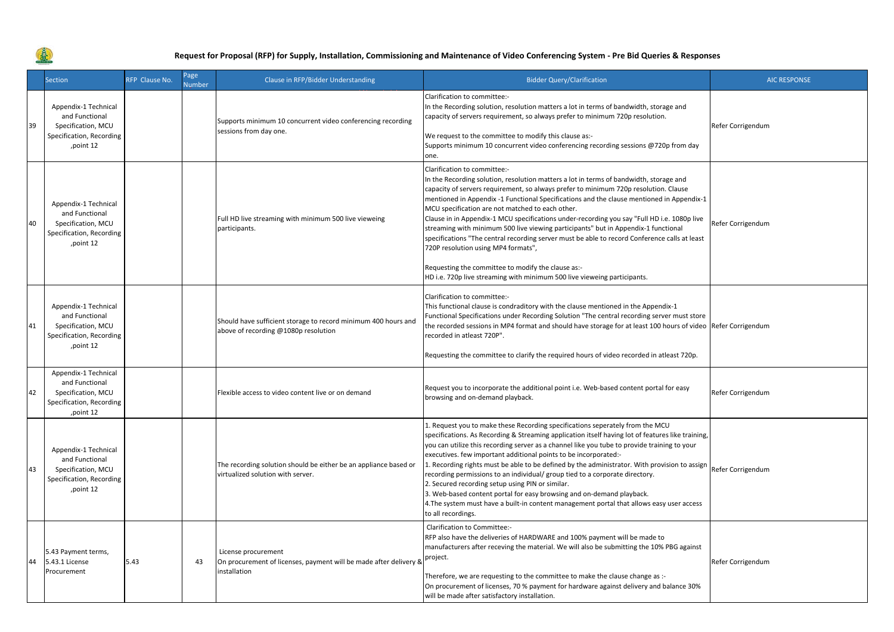

**SEC** 

|    | Section                                                                                                | RFP Clause No. | Page<br>Number | Clause in RFP/Bidder Understanding                                                                       | <b>Bidder Query/Clarification</b>                                                                                                                                                                                                                                                                                                                                                                                                                                                                                                                                                                                                                                                                                                                                                                                              | <b>AIC RESPONSE</b> |
|----|--------------------------------------------------------------------------------------------------------|----------------|----------------|----------------------------------------------------------------------------------------------------------|--------------------------------------------------------------------------------------------------------------------------------------------------------------------------------------------------------------------------------------------------------------------------------------------------------------------------------------------------------------------------------------------------------------------------------------------------------------------------------------------------------------------------------------------------------------------------------------------------------------------------------------------------------------------------------------------------------------------------------------------------------------------------------------------------------------------------------|---------------------|
| 39 | Appendix-1 Technical<br>and Functional<br>Specification, MCU<br>Specification, Recording<br>,point 12  |                |                | Supports minimum 10 concurrent video conferencing recording<br>sessions from day one.                    | Clarification to committee:-<br>In the Recording solution, resolution matters a lot in terms of bandwidth, storage and<br>capacity of servers requirement, so always prefer to minimum 720p resolution.<br>We request to the committee to modify this clause as:-<br>Supports minimum 10 concurrent video conferencing recording sessions @720p from day<br>one.                                                                                                                                                                                                                                                                                                                                                                                                                                                               | Refer Corrigendum   |
| 40 | Appendix-1 Technical<br>and Functional<br>Specification, MCU<br>Specification, Recording<br>,point 12  |                |                | Full HD live streaming with minimum 500 live vieweing<br>participants.                                   | Clarification to committee:-<br>In the Recording solution, resolution matters a lot in terms of bandwidth, storage and<br>capacity of servers requirement, so always prefer to minimum 720p resolution. Clause<br>mentioned in Appendix -1 Functional Specifications and the clause mentioned in Appendix-1<br>MCU specification are not matched to each other.<br>Clause in in Appendix-1 MCU specifications under-recording you say "Full HD i.e. 1080p live<br>streaming with minimum 500 live viewing participants" but in Appendix-1 functional<br>specifications "The central recording server must be able to record Conference calls at least<br>720P resolution using MP4 formats",<br>Requesting the committee to modify the clause as:-<br>HD i.e. 720p live streaming with minimum 500 live vieweing participants. | Refer Corrigendum   |
| 41 | Appendix-1 Technical<br>and Functional<br>Specification, MCU<br>Specification, Recording<br>,point 12  |                |                | Should have sufficient storage to record minimum 400 hours and<br>above of recording @1080p resolution   | Clarification to committee:-<br>This functional clause is condraditory with the clause mentioned in the Appendix-1<br>Functional Specifications under Recording Solution "The central recording server must store<br>the recorded sessions in MP4 format and should have storage for at least 100 hours of video Refer Corrigendum<br>recorded in atleast 720P".<br>Requesting the committee to clarify the required hours of video recorded in atleast 720p.                                                                                                                                                                                                                                                                                                                                                                  |                     |
| 42 | Appendix-1 Technical<br>and Functional<br>Specification, MCU<br>Specification, Recording<br>, point 12 |                |                | Flexible access to video content live or on demand                                                       | Request you to incorporate the additional point i.e. Web-based content portal for easy<br>browsing and on-demand playback.                                                                                                                                                                                                                                                                                                                                                                                                                                                                                                                                                                                                                                                                                                     | Refer Corrigendum   |
| 43 | Appendix-1 Technical<br>and Functional<br>Specification, MCU<br>Specification, Recording<br>,point 12  |                |                | The recording solution should be either be an appliance based or<br>virtualized solution with server.    | 1. Request you to make these Recording specifications seperately from the MCU<br>specifications. As Recording & Streaming application itself having lot of features like training,<br>you can utilize this recording server as a channel like you tube to provide training to your<br>executives. few important additional points to be incorporated:-<br>1. Recording rights must be able to be defined by the administrator. With provision to assign<br>recording permissions to an individual/ group tied to a corporate directory.<br>2. Secured recording setup using PIN or similar.<br>3. Web-based content portal for easy browsing and on-demand playback.<br>4. The system must have a built-in content management portal that allows easy user access<br>to all recordings.                                        | Refer Corrigendum   |
| 44 | 5.43 Payment terms,<br>5.43.1 License<br>Procurement                                                   | 5.43           | 43             | License procurement<br>On procurement of licenses, payment will be made after delivery 8<br>installation | Clarification to Committee:-<br>RFP also have the deliveries of HARDWARE and 100% payment will be made to<br>manufacturers after receving the material. We will also be submitting the 10% PBG against<br>project.<br>Therefore, we are requesting to the committee to make the clause change as :-<br>On procurement of licenses, 70 % payment for hardware against delivery and balance 30%<br>will be made after satisfactory installation.                                                                                                                                                                                                                                                                                                                                                                                 | Refer Corrigendum   |